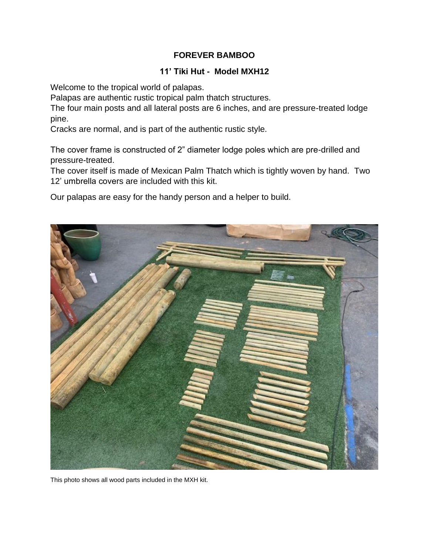## **FOREVER BAMBOO**

### **11' Tiki Hut - Model MXH12**

Welcome to the tropical world of palapas.

Palapas are authentic rustic tropical palm thatch structures.

The four main posts and all lateral posts are 6 inches, and are pressure-treated lodge pine.

Cracks are normal, and is part of the authentic rustic style.

The cover frame is constructed of 2" diameter lodge poles which are pre-drilled and pressure-treated.

The cover itself is made of Mexican Palm Thatch which is tightly woven by hand. Two 12' umbrella covers are included with this kit.

Our palapas are easy for the handy person and a helper to build.



This photo shows all wood parts included in the MXH kit.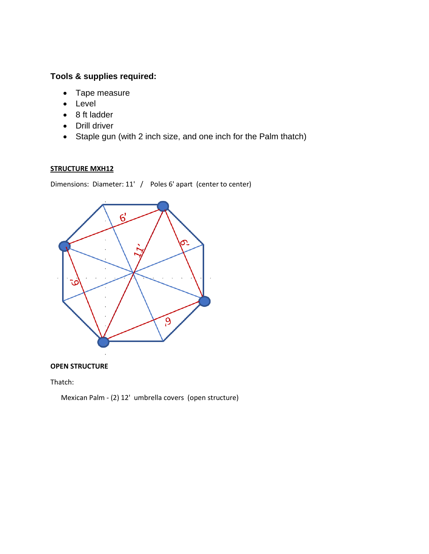# **Tools & supplies required:**

- Tape measure
- Level
- 8 ft ladder
- Drill driver
- Staple gun (with 2 inch size, and one inch for the Palm thatch)

### **STRUCTURE MXH12**

Dimensions: Diameter: 11' / Poles 6' apart (center to center)



### **OPEN STRUCTURE**

Thatch:

Mexican Palm - (2) 12' umbrella covers (open structure)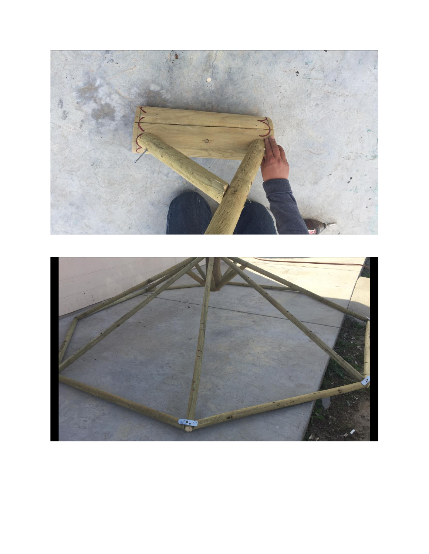

 $\mathbf{C}$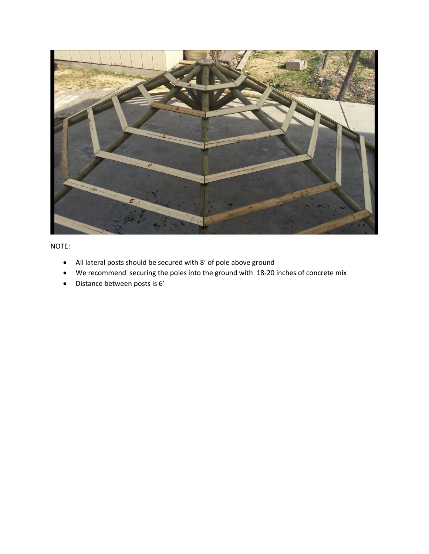

NOTE:

- All lateral posts should be secured with 8' of pole above ground
- We recommend securing the poles into the ground with 18-20 inches of concrete mix
- Distance between posts is 6'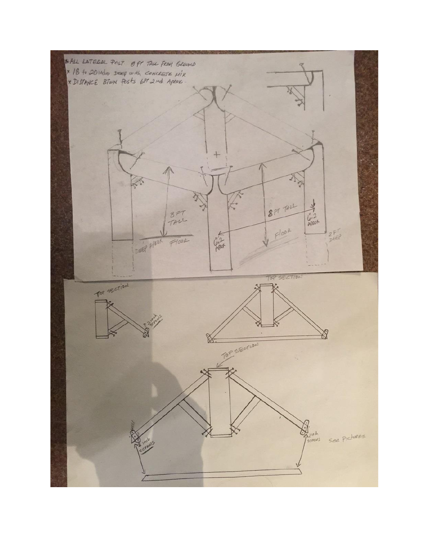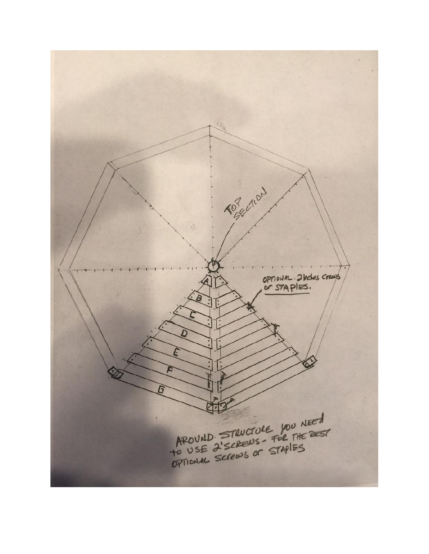